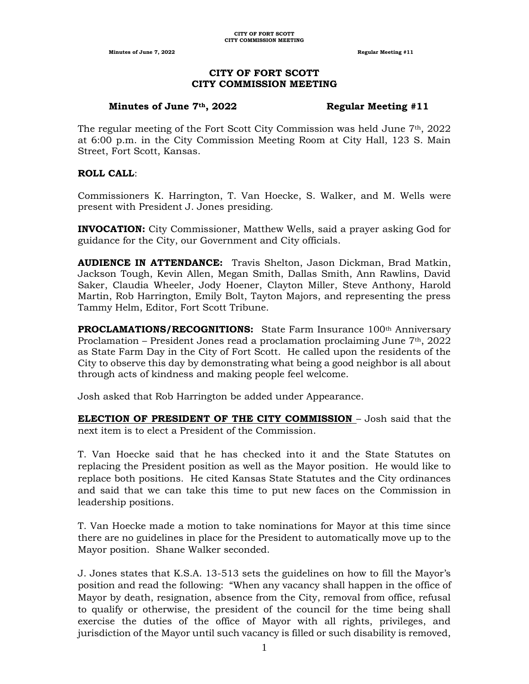# **CITY OF FORT SCOTT CITY COMMISSION MEETING**

# **Minutes of June 7th, 2022 Regular Meeting #11**

The regular meeting of the Fort Scott City Commission was held June  $7<sup>th</sup>$ , 2022 at 6:00 p.m. in the City Commission Meeting Room at City Hall, 123 S. Main Street, Fort Scott, Kansas.

# **ROLL CALL**:

Commissioners K. Harrington, T. Van Hoecke, S. Walker, and M. Wells were present with President J. Jones presiding.

**INVOCATION:** City Commissioner, Matthew Wells, said a prayer asking God for guidance for the City, our Government and City officials.

**AUDIENCE IN ATTENDANCE:** Travis Shelton, Jason Dickman, Brad Matkin, Jackson Tough, Kevin Allen, Megan Smith, Dallas Smith, Ann Rawlins, David Saker, Claudia Wheeler, Jody Hoener, Clayton Miller, Steve Anthony, Harold Martin, Rob Harrington, Emily Bolt, Tayton Majors, and representing the press Tammy Helm, Editor, Fort Scott Tribune.

**PROCLAMATIONS/RECOGNITIONS:** State Farm Insurance 100<sup>th</sup> Anniversary Proclamation – President Jones read a proclamation proclaiming June  $7<sup>th</sup>$ , 2022 as State Farm Day in the City of Fort Scott. He called upon the residents of the City to observe this day by demonstrating what being a good neighbor is all about through acts of kindness and making people feel welcome.

Josh asked that Rob Harrington be added under Appearance.

**ELECTION OF PRESIDENT OF THE CITY COMMISSION** – Josh said that the next item is to elect a President of the Commission.

T. Van Hoecke said that he has checked into it and the State Statutes on replacing the President position as well as the Mayor position. He would like to replace both positions. He cited Kansas State Statutes and the City ordinances and said that we can take this time to put new faces on the Commission in leadership positions.

T. Van Hoecke made a motion to take nominations for Mayor at this time since there are no guidelines in place for the President to automatically move up to the Mayor position. Shane Walker seconded.

J. Jones states that K.S.A. 13-513 sets the guidelines on how to fill the Mayor's position and read the following: "When any vacancy shall happen in the office of Mayor by death, resignation, absence from the City, removal from office, refusal to qualify or otherwise, the president of the council for the time being shall exercise the duties of the office of Mayor with all rights, privileges, and jurisdiction of the Mayor until such vacancy is filled or such disability is removed,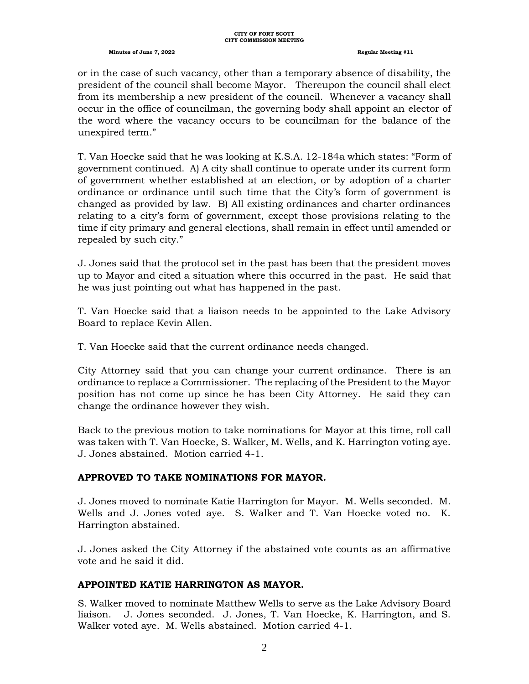#### **CITY OF FORT SCOTT CITY COMMISSION MEETING**

### **Minutes of June 7, 2022 Regular Meeting #11**

or in the case of such vacancy, other than a temporary absence of disability, the president of the council shall become Mayor. Thereupon the council shall elect from its membership a new president of the council. Whenever a vacancy shall occur in the office of councilman, the governing body shall appoint an elector of the word where the vacancy occurs to be councilman for the balance of the unexpired term."

T. Van Hoecke said that he was looking at K.S.A. 12-184a which states: "Form of government continued. A) A city shall continue to operate under its current form of government whether established at an election, or by adoption of a charter ordinance or ordinance until such time that the City's form of government is changed as provided by law. B) All existing ordinances and charter ordinances relating to a city's form of government, except those provisions relating to the time if city primary and general elections, shall remain in effect until amended or repealed by such city."

J. Jones said that the protocol set in the past has been that the president moves up to Mayor and cited a situation where this occurred in the past. He said that he was just pointing out what has happened in the past.

T. Van Hoecke said that a liaison needs to be appointed to the Lake Advisory Board to replace Kevin Allen.

T. Van Hoecke said that the current ordinance needs changed.

City Attorney said that you can change your current ordinance. There is an ordinance to replace a Commissioner. The replacing of the President to the Mayor position has not come up since he has been City Attorney. He said they can change the ordinance however they wish.

Back to the previous motion to take nominations for Mayor at this time, roll call was taken with T. Van Hoecke, S. Walker, M. Wells, and K. Harrington voting aye. J. Jones abstained. Motion carried 4-1.

# **APPROVED TO TAKE NOMINATIONS FOR MAYOR.**

J. Jones moved to nominate Katie Harrington for Mayor. M. Wells seconded. M. Wells and J. Jones voted aye. S. Walker and T. Van Hoecke voted no. K. Harrington abstained.

J. Jones asked the City Attorney if the abstained vote counts as an affirmative vote and he said it did.

# **APPOINTED KATIE HARRINGTON AS MAYOR.**

S. Walker moved to nominate Matthew Wells to serve as the Lake Advisory Board liaison. J. Jones seconded. J. Jones, T. Van Hoecke, K. Harrington, and S. Walker voted aye. M. Wells abstained. Motion carried 4-1.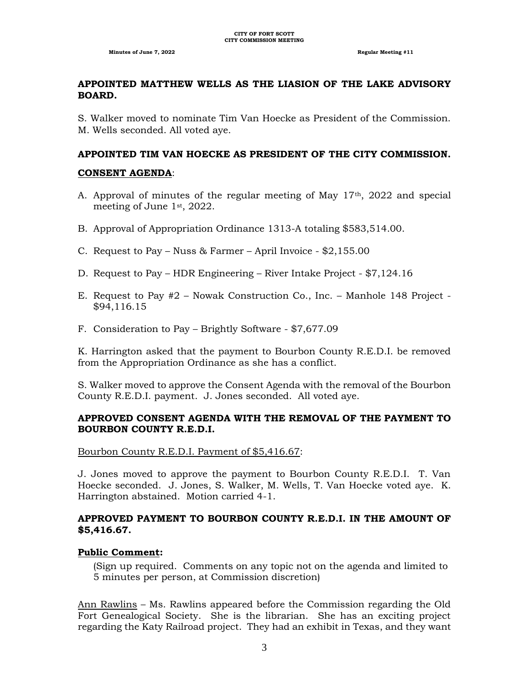# **APPOINTED MATTHEW WELLS AS THE LIASION OF THE LAKE ADVISORY BOARD.**

S. Walker moved to nominate Tim Van Hoecke as President of the Commission. M. Wells seconded. All voted aye.

# **APPOINTED TIM VAN HOECKE AS PRESIDENT OF THE CITY COMMISSION.**

### **CONSENT AGENDA**:

- A. Approval of minutes of the regular meeting of May 17<sup>th</sup>, 2022 and special meeting of June 1st, 2022.
- B. Approval of Appropriation Ordinance 1313-A totaling \$583,514.00.
- C. Request to Pay Nuss & Farmer April Invoice \$2,155.00
- D. Request to Pay HDR Engineering River Intake Project \$7,124.16
- E. Request to Pay #2 Nowak Construction Co., Inc. Manhole 148 Project \$94,116.15
- F. Consideration to Pay Brightly Software \$7,677.09

K. Harrington asked that the payment to Bourbon County R.E.D.I. be removed from the Appropriation Ordinance as she has a conflict.

S. Walker moved to approve the Consent Agenda with the removal of the Bourbon County R.E.D.I. payment. J. Jones seconded. All voted aye.

# **APPROVED CONSENT AGENDA WITH THE REMOVAL OF THE PAYMENT TO BOURBON COUNTY R.E.D.I.**

Bourbon County R.E.D.I. Payment of \$5,416.67:

J. Jones moved to approve the payment to Bourbon County R.E.D.I. T. Van Hoecke seconded. J. Jones, S. Walker, M. Wells, T. Van Hoecke voted aye. K. Harrington abstained. Motion carried 4-1.

# **APPROVED PAYMENT TO BOURBON COUNTY R.E.D.I. IN THE AMOUNT OF \$5,416.67.**

# **Public Comment:**

(Sign up required. Comments on any topic not on the agenda and limited to 5 minutes per person, at Commission discretion)

Ann Rawlins – Ms. Rawlins appeared before the Commission regarding the Old Fort Genealogical Society. She is the librarian. She has an exciting project regarding the Katy Railroad project. They had an exhibit in Texas, and they want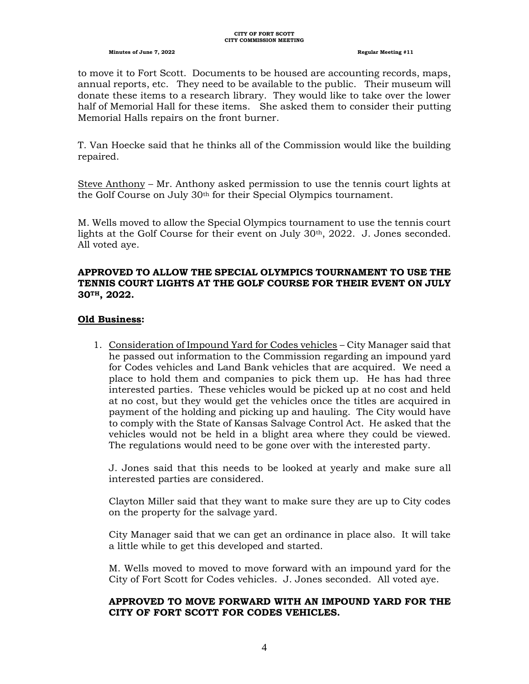to move it to Fort Scott. Documents to be housed are accounting records, maps, annual reports, etc. They need to be available to the public. Their museum will donate these items to a research library. They would like to take over the lower half of Memorial Hall for these items. She asked them to consider their putting Memorial Halls repairs on the front burner.

T. Van Hoecke said that he thinks all of the Commission would like the building repaired.

Steve Anthony – Mr. Anthony asked permission to use the tennis court lights at the Golf Course on July 30th for their Special Olympics tournament.

M. Wells moved to allow the Special Olympics tournament to use the tennis court lights at the Golf Course for their event on July 30th, 2022. J. Jones seconded. All voted aye.

# **APPROVED TO ALLOW THE SPECIAL OLYMPICS TOURNAMENT TO USE THE TENNIS COURT LIGHTS AT THE GOLF COURSE FOR THEIR EVENT ON JULY 30TH, 2022.**

# **Old Business:**

1. Consideration of Impound Yard for Codes vehicles – City Manager said that he passed out information to the Commission regarding an impound yard for Codes vehicles and Land Bank vehicles that are acquired. We need a place to hold them and companies to pick them up. He has had three interested parties. These vehicles would be picked up at no cost and held at no cost, but they would get the vehicles once the titles are acquired in payment of the holding and picking up and hauling. The City would have to comply with the State of Kansas Salvage Control Act. He asked that the vehicles would not be held in a blight area where they could be viewed. The regulations would need to be gone over with the interested party.

J. Jones said that this needs to be looked at yearly and make sure all interested parties are considered.

Clayton Miller said that they want to make sure they are up to City codes on the property for the salvage yard.

City Manager said that we can get an ordinance in place also. It will take a little while to get this developed and started.

M. Wells moved to moved to move forward with an impound yard for the City of Fort Scott for Codes vehicles. J. Jones seconded. All voted aye.

# **APPROVED TO MOVE FORWARD WITH AN IMPOUND YARD FOR THE CITY OF FORT SCOTT FOR CODES VEHICLES.**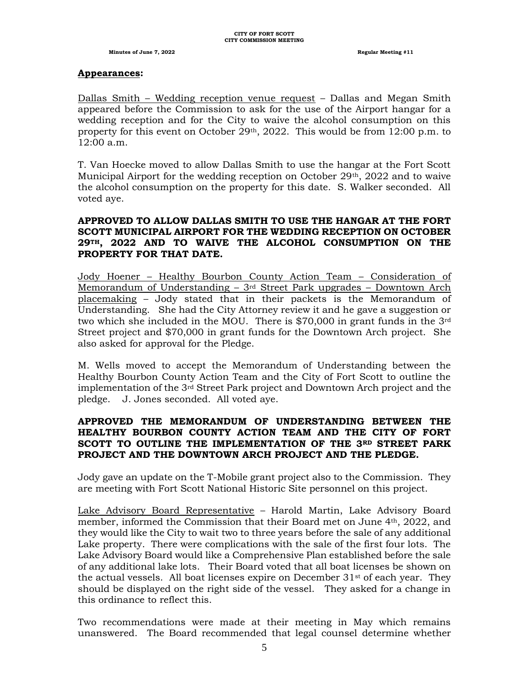### **Appearances:**

Dallas Smith – Wedding reception venue request – Dallas and Megan Smith appeared before the Commission to ask for the use of the Airport hangar for a wedding reception and for the City to waive the alcohol consumption on this property for this event on October 29<sup>th</sup>, 2022. This would be from 12:00 p.m. to 12:00 a.m.

T. Van Hoecke moved to allow Dallas Smith to use the hangar at the Fort Scott Municipal Airport for the wedding reception on October  $29<sup>th</sup>$ , 2022 and to waive the alcohol consumption on the property for this date. S. Walker seconded. All voted aye.

# **APPROVED TO ALLOW DALLAS SMITH TO USE THE HANGAR AT THE FORT SCOTT MUNICIPAL AIRPORT FOR THE WEDDING RECEPTION ON OCTOBER 29TH, 2022 AND TO WAIVE THE ALCOHOL CONSUMPTION ON THE PROPERTY FOR THAT DATE.**

Jody Hoener – Healthy Bourbon County Action Team – Consideration of Memorandum of Understanding  $-3$ <sup>rd</sup> Street Park upgrades  $-$  Downtown Arch placemaking – Jody stated that in their packets is the Memorandum of Understanding. She had the City Attorney review it and he gave a suggestion or two which she included in the MOU. There is \$70,000 in grant funds in the 3rd Street project and \$70,000 in grant funds for the Downtown Arch project. She also asked for approval for the Pledge.

M. Wells moved to accept the Memorandum of Understanding between the Healthy Bourbon County Action Team and the City of Fort Scott to outline the implementation of the  $3<sup>rd</sup>$  Street Park project and Downtown Arch project and the pledge. J. Jones seconded. All voted aye.

# **APPROVED THE MEMORANDUM OF UNDERSTANDING BETWEEN THE HEALTHY BOURBON COUNTY ACTION TEAM AND THE CITY OF FORT SCOTT TO OUTLINE THE IMPLEMENTATION OF THE 3RD STREET PARK PROJECT AND THE DOWNTOWN ARCH PROJECT AND THE PLEDGE.**

Jody gave an update on the T-Mobile grant project also to the Commission. They are meeting with Fort Scott National Historic Site personnel on this project.

Lake Advisory Board Representative – Harold Martin, Lake Advisory Board member, informed the Commission that their Board met on June 4th, 2022, and they would like the City to wait two to three years before the sale of any additional Lake property. There were complications with the sale of the first four lots. The Lake Advisory Board would like a Comprehensive Plan established before the sale of any additional lake lots. Their Board voted that all boat licenses be shown on the actual vessels. All boat licenses expire on December  $31<sup>st</sup>$  of each year. They should be displayed on the right side of the vessel. They asked for a change in this ordinance to reflect this.

Two recommendations were made at their meeting in May which remains unanswered. The Board recommended that legal counsel determine whether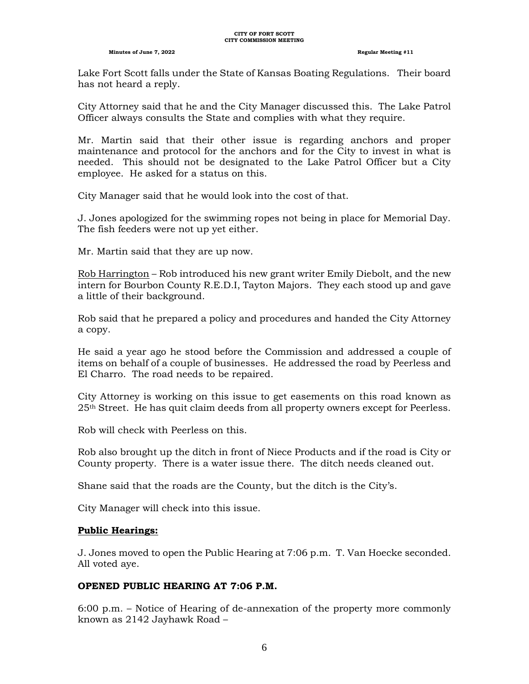#### **CITY OF FORT SCOTT CITY COMMISSION MEETING**

#### **Minutes of June 7, 2022 Regular Meeting #11**

Lake Fort Scott falls under the State of Kansas Boating Regulations. Their board has not heard a reply.

City Attorney said that he and the City Manager discussed this. The Lake Patrol Officer always consults the State and complies with what they require.

Mr. Martin said that their other issue is regarding anchors and proper maintenance and protocol for the anchors and for the City to invest in what is needed. This should not be designated to the Lake Patrol Officer but a City employee. He asked for a status on this.

City Manager said that he would look into the cost of that.

J. Jones apologized for the swimming ropes not being in place for Memorial Day. The fish feeders were not up yet either.

Mr. Martin said that they are up now.

Rob Harrington – Rob introduced his new grant writer Emily Diebolt, and the new intern for Bourbon County R.E.D.I, Tayton Majors. They each stood up and gave a little of their background.

Rob said that he prepared a policy and procedures and handed the City Attorney a copy.

He said a year ago he stood before the Commission and addressed a couple of items on behalf of a couple of businesses. He addressed the road by Peerless and El Charro. The road needs to be repaired.

City Attorney is working on this issue to get easements on this road known as 25th Street. He has quit claim deeds from all property owners except for Peerless.

Rob will check with Peerless on this.

Rob also brought up the ditch in front of Niece Products and if the road is City or County property. There is a water issue there. The ditch needs cleaned out.

Shane said that the roads are the County, but the ditch is the City's.

City Manager will check into this issue.

# **Public Hearings:**

J. Jones moved to open the Public Hearing at 7:06 p.m. T. Van Hoecke seconded. All voted aye.

# **OPENED PUBLIC HEARING AT 7:06 P.M.**

6:00 p.m. – Notice of Hearing of de-annexation of the property more commonly known as 2142 Jayhawk Road –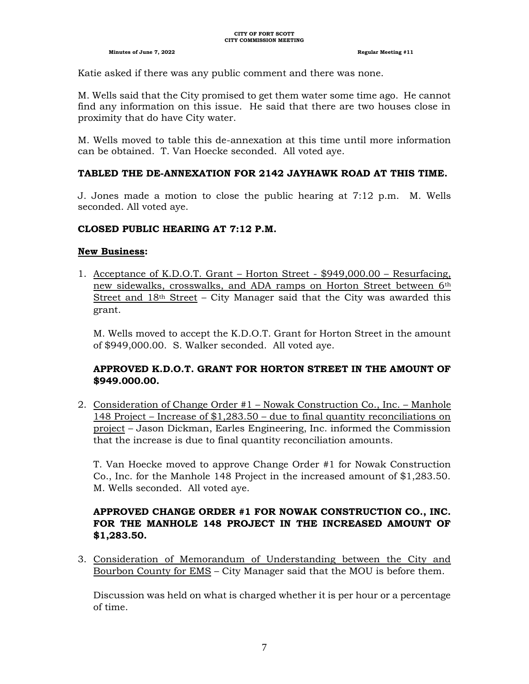Katie asked if there was any public comment and there was none.

M. Wells said that the City promised to get them water some time ago. He cannot find any information on this issue. He said that there are two houses close in proximity that do have City water.

M. Wells moved to table this de-annexation at this time until more information can be obtained. T. Van Hoecke seconded. All voted aye.

# **TABLED THE DE-ANNEXATION FOR 2142 JAYHAWK ROAD AT THIS TIME.**

J. Jones made a motion to close the public hearing at 7:12 p.m. M. Wells seconded. All voted aye.

# **CLOSED PUBLIC HEARING AT 7:12 P.M.**

# **New Business:**

1. Acceptance of K.D.O.T. Grant – Horton Street - \$949,000.00 – Resurfacing, new sidewalks, crosswalks, and ADA ramps on Horton Street between 6th Street and  $18<sup>th</sup>$  Street – City Manager said that the City was awarded this grant.

M. Wells moved to accept the K.D.O.T. Grant for Horton Street in the amount of \$949,000.00. S. Walker seconded. All voted aye.

# **APPROVED K.D.O.T. GRANT FOR HORTON STREET IN THE AMOUNT OF \$949.000.00.**

2. Consideration of Change Order #1 – Nowak Construction Co., Inc. – Manhole 148 Project – Increase of \$1,283.50 – due to final quantity reconciliations on project – Jason Dickman, Earles Engineering, Inc. informed the Commission that the increase is due to final quantity reconciliation amounts.

T. Van Hoecke moved to approve Change Order #1 for Nowak Construction Co., Inc. for the Manhole 148 Project in the increased amount of \$1,283.50. M. Wells seconded. All voted aye.

# **APPROVED CHANGE ORDER #1 FOR NOWAK CONSTRUCTION CO., INC. FOR THE MANHOLE 148 PROJECT IN THE INCREASED AMOUNT OF \$1,283.50.**

3. Consideration of Memorandum of Understanding between the City and Bourbon County for EMS – City Manager said that the MOU is before them.

Discussion was held on what is charged whether it is per hour or a percentage of time.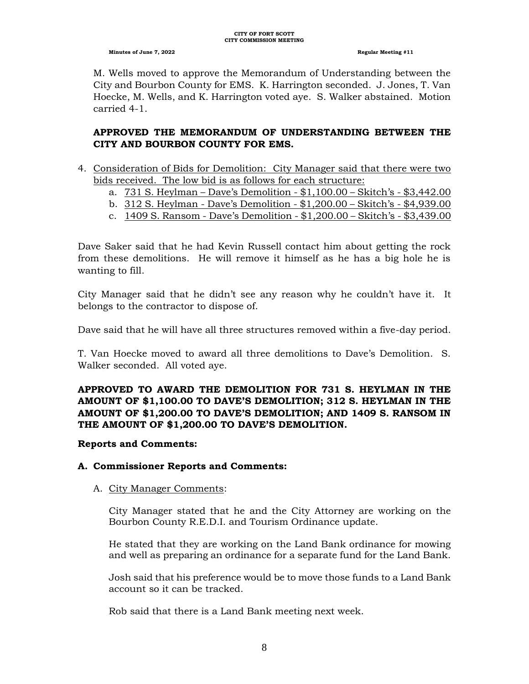M. Wells moved to approve the Memorandum of Understanding between the City and Bourbon County for EMS. K. Harrington seconded. J. Jones, T. Van Hoecke, M. Wells, and K. Harrington voted aye. S. Walker abstained. Motion carried 4-1.

# **APPROVED THE MEMORANDUM OF UNDERSTANDING BETWEEN THE CITY AND BOURBON COUNTY FOR EMS.**

- 4. Consideration of Bids for Demolition: City Manager said that there were two bids received. The low bid is as follows for each structure:
	- a. 731 S. Heylman Dave's Demolition \$1,100.00 Skitch's \$3,442.00
	- b. 312 S. Heylman Dave's Demolition \$1,200.00 Skitch's \$4,939.00
	- c. 1409 S. Ransom Dave's Demolition \$1,200.00 Skitch's \$3,439.00

Dave Saker said that he had Kevin Russell contact him about getting the rock from these demolitions. He will remove it himself as he has a big hole he is wanting to fill.

City Manager said that he didn't see any reason why he couldn't have it. It belongs to the contractor to dispose of.

Dave said that he will have all three structures removed within a five-day period.

T. Van Hoecke moved to award all three demolitions to Dave's Demolition. S. Walker seconded. All voted aye.

# **APPROVED TO AWARD THE DEMOLITION FOR 731 S. HEYLMAN IN THE AMOUNT OF \$1,100.00 TO DAVE'S DEMOLITION; 312 S. HEYLMAN IN THE AMOUNT OF \$1,200.00 TO DAVE'S DEMOLITION; AND 1409 S. RANSOM IN THE AMOUNT OF \$1,200.00 TO DAVE'S DEMOLITION.**

# **Reports and Comments:**

# **A. Commissioner Reports and Comments:**

# A. City Manager Comments:

City Manager stated that he and the City Attorney are working on the Bourbon County R.E.D.I. and Tourism Ordinance update.

He stated that they are working on the Land Bank ordinance for mowing and well as preparing an ordinance for a separate fund for the Land Bank.

Josh said that his preference would be to move those funds to a Land Bank account so it can be tracked.

Rob said that there is a Land Bank meeting next week.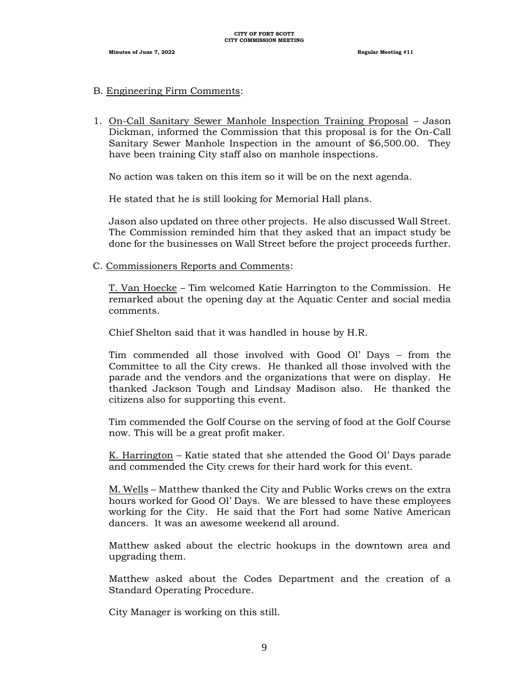### B. Engineering Firm Comments:

1. On-Call Sanitary Sewer Manhole Inspection Training Proposal – Jason Dickman, informed the Commission that this proposal is for the On-Call Sanitary Sewer Manhole Inspection in the amount of \$6,500.00. They have been training City staff also on manhole inspections.

No action was taken on this item so it will be on the next agenda.

He stated that he is still looking for Memorial Hall plans.

Jason also updated on three other projects. He also discussed Wall Street. The Commission reminded him that they asked that an impact study be done for the businesses on Wall Street before the project proceeds further.

C. Commissioners Reports and Comments:

T. Van Hoecke – Tim welcomed Katie Harrington to the Commission. He remarked about the opening day at the Aquatic Center and social media comments.

Chief Shelton said that it was handled in house by H.R.

Tim commended all those involved with Good Ol' Days – from the Committee to all the City crews. He thanked all those involved with the parade and the vendors and the organizations that were on display. He thanked Jackson Tough and Lindsay Madison also. He thanked the citizens also for supporting this event.

Tim commended the Golf Course on the serving of food at the Golf Course now. This will be a great profit maker.

K. Harrington – Katie stated that she attended the Good Ol' Days parade and commended the City crews for their hard work for this event.

M. Wells – Matthew thanked the City and Public Works crews on the extra hours worked for Good Ol' Days. We are blessed to have these employees working for the City. He said that the Fort had some Native American dancers. It was an awesome weekend all around.

Matthew asked about the electric hookups in the downtown area and upgrading them.

Matthew asked about the Codes Department and the creation of a Standard Operating Procedure.

City Manager is working on this still.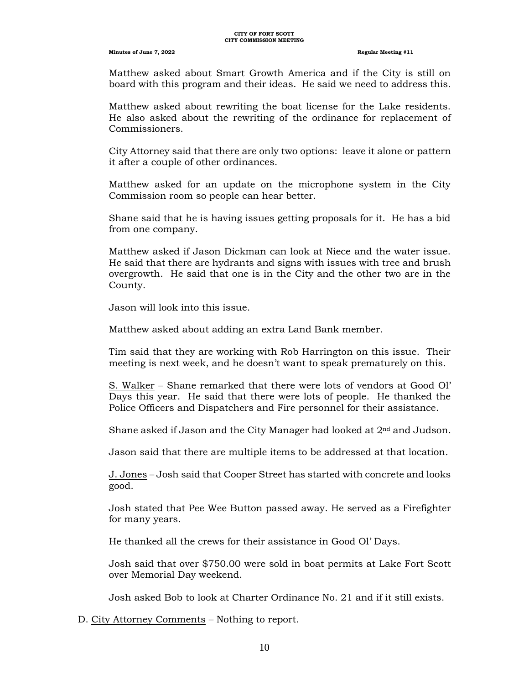Matthew asked about Smart Growth America and if the City is still on board with this program and their ideas. He said we need to address this.

Matthew asked about rewriting the boat license for the Lake residents. He also asked about the rewriting of the ordinance for replacement of Commissioners.

City Attorney said that there are only two options: leave it alone or pattern it after a couple of other ordinances.

Matthew asked for an update on the microphone system in the City Commission room so people can hear better.

Shane said that he is having issues getting proposals for it. He has a bid from one company.

Matthew asked if Jason Dickman can look at Niece and the water issue. He said that there are hydrants and signs with issues with tree and brush overgrowth. He said that one is in the City and the other two are in the County.

Jason will look into this issue.

Matthew asked about adding an extra Land Bank member.

Tim said that they are working with Rob Harrington on this issue. Their meeting is next week, and he doesn't want to speak prematurely on this.

S. Walker – Shane remarked that there were lots of vendors at Good Ol' Days this year. He said that there were lots of people. He thanked the Police Officers and Dispatchers and Fire personnel for their assistance.

Shane asked if Jason and the City Manager had looked at  $2<sup>nd</sup>$  and Judson.

Jason said that there are multiple items to be addressed at that location.

J. Jones – Josh said that Cooper Street has started with concrete and looks good.

Josh stated that Pee Wee Button passed away. He served as a Firefighter for many years.

He thanked all the crews for their assistance in Good Ol' Days.

Josh said that over \$750.00 were sold in boat permits at Lake Fort Scott over Memorial Day weekend.

Josh asked Bob to look at Charter Ordinance No. 21 and if it still exists.

D. City Attorney Comments – Nothing to report.